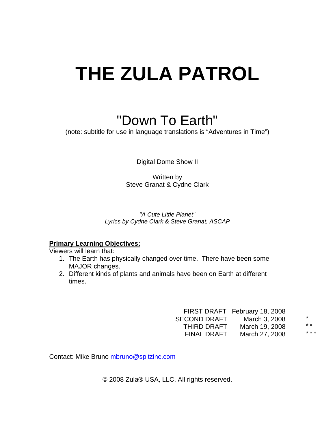# **THE ZULA PATROL**

## "Down To Earth"

(note: subtitle for use in language translations is "Adventures in Time")

Digital Dome Show II

Written by Steve Granat & Cydne Clark

*"A Cute Little Planet" Lyrics by Cydne Clark & Steve Granat, ASCAP* 

## **Primary Learning Objectives:**

Viewers will learn that:

- 1. The Earth has physically changed over time. There have been some MAJOR changes.
- 2. Different kinds of plants and animals have been on Earth at different times.

|                     | FIRST DRAFT February 18, 2008 |         |
|---------------------|-------------------------------|---------|
| <b>SECOND DRAFT</b> | March 3, 2008                 | $\star$ |
| THIRD DRAFT         | March 19, 2008                | $* *$   |
| <b>FINAL DRAFT</b>  | March 27, 2008                | ***     |

Contact: Mike Bruno mbruno@spitzinc.com

© 2008 Zula® USA, LLC. All rights reserved.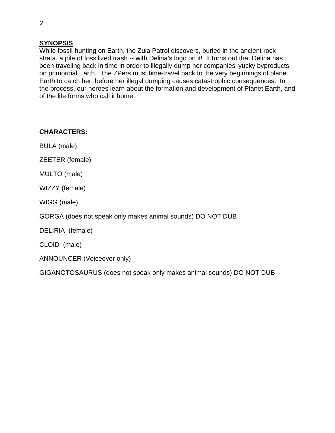## **SYNOPSIS**

While fossil-hunting on Earth, the Zula Patrol discovers, buried in the ancient rock strata, a pile of fossilized trash -- with Deliria's logo on it! It turns out that Deliria has been traveling back in time in order to illegally dump her companies' yucky byproducts on primordial Earth. The ZPers must time-travel back to the very beginnings of planet Earth to catch her, before her illegal dumping causes catastrophic consequences. In the process, our heroes learn about the formation and development of Planet Earth, and of the life forms who call it home.

## **CHARACTERS:**

BULA (male)

ZEETER (female)

MULTO (male)

WIZZY (female)

WIGG (male)

GORGA (does not speak only makes animal sounds) DO NOT DUB

DELIRIA (female)

CLOID (male)

ANNOUNCER (Voiceover only)

GIGANOTOSAURUS (does not speak only makes animal sounds) DO NOT DUB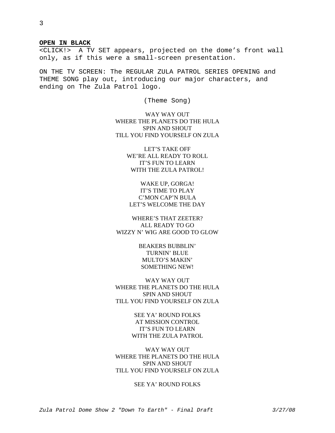#### **OPEN IN BLACK**

<CLICK!> A TV SET appears, projected on the dome's front wall only, as if this were a small-screen presentation.

ON THE TV SCREEN: The REGULAR ZULA PATROL SERIES OPENING and THEME SONG play out, introducing our major characters, and ending on The Zula Patrol logo.

(Theme Song)

WAY WAY OUT WHERE THE PLANETS DO THE HULA SPIN AND SHOUT TILL YOU FIND YOURSELF ON ZULA

> LET'S TAKE OFF WE'RE ALL READY TO ROLL IT'S FUN TO LEARN WITH THE ZULA PATROL!

## WAKE UP, GORGA! IT'S TIME TO PLAY C'MON CAP'N BULA LET'S WELCOME THE DAY

WHERE'S THAT ZEETER? ALL READY TO GO WIZZY N' WIG ARE GOOD TO GLOW

> BEAKERS BUBBLIN' TURNIN' BLUE MULTO'S MAKIN' SOMETHING NEW!

WAY WAY OUT WHERE THE PLANETS DO THE HULA SPIN AND SHOUT TILL YOU FIND YOURSELF ON ZULA

> SEE YA' ROUND FOLKS AT MISSION CONTROL IT'S FUN TO LEARN WITH THE ZULA PATROL

WAY WAY OUT WHERE THE PLANETS DO THE HULA SPIN AND SHOUT TILL YOU FIND YOURSELF ON ZULA

#### SEE YA' ROUND FOLKS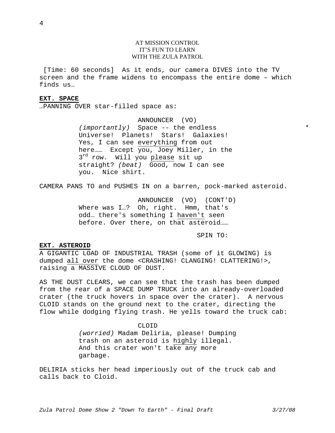#### AT MISSION CONTROL IT'S FUN TO LEARN WITH THE ZULA PATROL

 [Time: 60 seconds] As it ends, our camera DIVES into the TV screen and the frame widens to encompass the entire dome – which finds us…

#### **EXT. SPACE**

…PANNING OVER star-filled space as:

ANNOUNCER (VO) *(importantly)* Space -- the endless Universe! Planets! Stars! Galaxies! Yes, I can see everything from out here……Except you, Joey Miller, in the  $3^{rd}$  row. Will you please sit up straight? *(beat)* Good, now I can see you. Nice shirt.

CAMERA PANS TO and PUSHES IN on a barren, pock-marked asteroid.

ANNOUNCER (VO) (CONT'D) Where was I...? Oh, right. Hmm, that's odd… there's something I haven't seen before. Over there, on that asteroid……

SPIN TO:

#### **EXT. ASTEROID**

A GIGANTIC LOAD OF INDUSTRIAL TRASH (some of it GLOWING) is dumped all over the dome <CRASHING! CLANGING! CLATTERING!>, raising a MASSIVE CLOUD OF DUST.

AS THE DUST CLEARS, we can see that the trash has been dumped from the rear of a SPACE DUMP TRUCK into an already-overloaded crater (the truck hovers in space over the crater). A nervous CLOID stands on the ground next to the crater, directing the flow while dodging flying trash. He yells toward the truck cab:

> CLOID *(worried)* Madam Deliria, please! Dumping trash on an asteroid is highly illegal. And this crater won't take any more garbage.

DELIRIA sticks her head imperiously out of the truck cab and calls back to Cloid.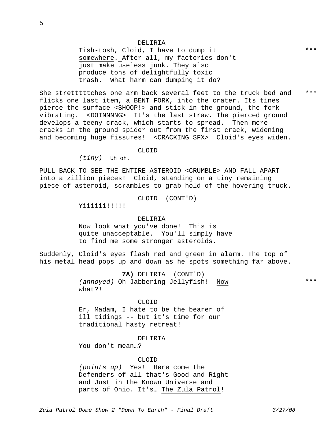Tish-tosh, Cloid, I have to dump it somewhere. After all, my factories don't just make useless junk. They also produce tons of delightfully toxic trash. What harm can dumping it do?

She stretttttches one arm back several feet to the truck bed and flicks one last item, a BENT FORK, into the crater. Its tines pierce the surface <SHOOP!> and stick in the ground, the fork vibrating. <DOINNNNG> It's the last straw. The pierced ground develops a teeny crack, which starts to spread. Then more cracks in the ground spider out from the first crack, widening and becoming huge fissures! <CRACKING SFX> Cloid's eyes widen. \*\*\*

#### CLOID

*(tiny)* Uh oh.

PULL BACK TO SEE THE ENTIRE ASTEROID <CRUMBLE> AND FALL APART into a zillion pieces! Cloid, standing on a tiny remaining piece of asteroid, scrambles to grab hold of the hovering truck.

CLOID (CONT'D)

Yiiiiii!!!!!

#### DELIRIA

Now look what you've done! This is quite unacceptable. You'll simply have to find me some stronger asteroids.

Suddenly, Cloid's eyes flash red and green in alarm. The top of his metal head pops up and down as he spots something far above.

> **7A)** DELIRIA (CONT'D) *(annoyed)* Oh Jabbering Jellyfish! Now what?!

\*\*\*

#### CLOID

Er, Madam, I hate to be the bearer of ill tidings -- but it's time for our traditional hasty retreat!

#### DELIRIA

You don't mean…?

#### CLOID

*(points up)* Yes! Here come the Defenders of all that's Good and Right and Just in the Known Universe and parts of Ohio. It's… The Zula Patrol!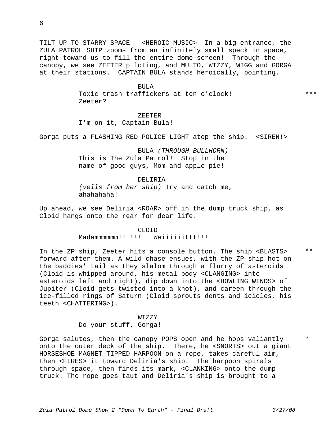6

TILT UP TO STARRY SPACE - <HEROIC MUSIC> In a big entrance, the ZULA PATROL SHIP zooms from an infinitely small speck in space, right toward us to fill the entire dome screen! Through the canopy, we see ZEETER piloting, and MULTO, WIZZY, WIGG and GORGA at their stations. CAPTAIN BULA stands heroically, pointing.

#### BULA

Toxic trash traffickers at ten o'clock! Zeeter?

ZEETER

I'm on it, Captain Bula!

Gorga puts a FLASHING RED POLICE LIGHT atop the ship. <SIREN!>

BULA *(THROUGH BULLHORN)*  This is The Zula Patrol! Stop in the name of good guys, Mom and apple pie!

DELIRIA *(yells from her ship)* Try and catch me, ahahaha!

Up ahead, we see Deliria <ROAR> off in the dump truck ship, as Cloid hangs onto the rear for dear life.

CLOID

Madammmmmm!!!!!!! Waiiiiiittt!!!

In the ZP ship, Zeeter hits a console button. The ship <BLASTS> forward after them. A wild chase ensues, with the ZP ship hot on the baddies' tail as they slalom through a flurry of asteroids (Cloid is whipped around, his metal body <CLANGING> into asteroids left and right), dip down into the <HOWLING WINDS> of Jupiter (Cloid gets twisted into a knot), and careen through the ice-filled rings of Saturn (Cloid sprouts dents and icicles, his teeth <CHATTERING>).

#### WIZZY

Do your stuff, Gorga!

Gorga salutes, then the canopy POPS open and he hops valiantly onto the outer deck of the ship. There, he <SNORTS> out a giant HORSESHOE-MAGNET-TIPPED HARPOON on a rope, takes careful aim, then <FIRES> it toward Deliria's ship. The harpoon spirals through space, then finds its mark, <CLANKING> onto the dump truck. The rope goes taut and Deliria's ship is brought to a

\*\*

\*\*\*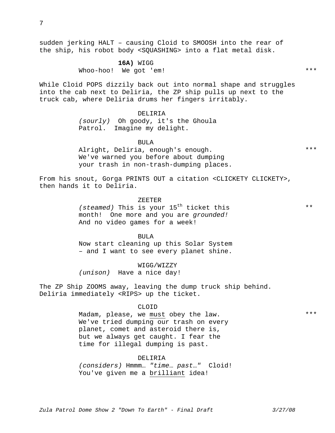sudden jerking HALT – causing Cloid to SMOOSH into the rear of the ship, his robot body <SQUASHING> into a flat metal disk.

> **16A)** WIGG Whoo-hoo! We got 'em!

While Cloid POPS dizzily back out into normal shape and struggles into the cab next to Deliria, the ZP ship pulls up next to the truck cab, where Deliria drums her fingers irritably.

#### DELIRIA

*(sourly)* Oh goody, it's the Ghoula Patrol. Imagine my delight.

BULA

Alright, Deliria, enough's enough. We've warned you before about dumping your trash in non-trash-dumping places.

From his snout, Gorga PRINTS OUT a citation <CLICKETY CLICKETY>, then hands it to Deliria.

> ZEETER *(steamed)* This is your 15<sup>th</sup> ticket this month! One more and you are *grounded!*  And no video games for a week!

BULA Now start cleaning up this Solar System – and I want to see every planet shine.

WIGG/WIZZY *(unison)* Have a nice day!

The ZP Ship ZOOMS away, leaving the dump truck ship behind. Deliria immediately <RIPS> up the ticket.

#### CLOID

Madam, please, we must obey the law. We've tried dumping our trash on every planet, comet and asteroid there is, but we always get caught. I fear the time for illegal dumping is past.

#### DELIRIA

*(considers)* Hmmm… *"time*… *past*…*"* Cloid! You've given me a brilliant idea!

\*\*\*

\*\*\*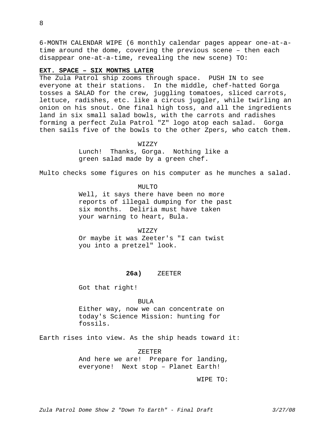6-MONTH CALENDAR WIPE (6 monthly calendar pages appear one-at-atime around the dome, covering the previous scene – then each disappear one-at-a-time, revealing the new scene) TO:

#### **EXT. SPACE – SIX MONTHS LATER**

The Zula Patrol ship zooms through space. PUSH IN to see everyone at their stations. In the middle, chef-hatted Gorga tosses a SALAD for the crew, juggling tomatoes, sliced carrots, lettuce, radishes, etc. like a circus juggler, while twirling an onion on his snout. One final high toss, and all the ingredients land in six small salad bowls, with the carrots and radishes forming a perfect Zula Patrol "Z" logo atop each salad. Gorga then sails five of the bowls to the other Zpers, who catch them.

#### WIZZY

Lunch! Thanks, Gorga. Nothing like a green salad made by a green chef.

Multo checks some figures on his computer as he munches a salad.

MULTO

Well, it says there have been no more reports of illegal dumping for the past six months. Deliria must have taken your warning to heart, Bula.

#### WIZZY

Or maybe it was Zeeter's "I can twist you into a pretzel" look.

#### **26a)** ZEETER

Got that right!

BULA

Either way, now we can concentrate on today's Science Mission: hunting for fossils.

Earth rises into view. As the ship heads toward it:

#### ZEETER

And here we are! Prepare for landing, everyone! Next stop – Planet Earth!

WIPE TO: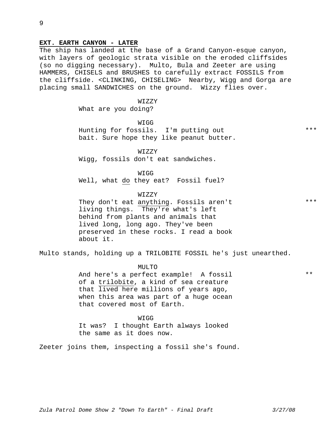The ship has landed at the base of a Grand Canyon-esque canyon, with layers of geologic strata visible on the eroded cliffsides (so no digging necessary). Multo, Bula and Zeeter are using HAMMERS, CHISELS and BRUSHES to carefully extract FOSSILS from the cliffside. <CLINKING, CHISELING> Nearby, Wigg and Gorga are placing small SANDWICHES on the ground. Wizzy flies over.

WIZZY

What are you doing?

WIGG

Hunting for fossils. I'm putting out bait. Sure hope they like peanut butter.

WIZZY

Wigg, fossils don't eat sandwiches.

WIGG

Well, what do they eat? Fossil fuel?

#### WIZZY

They don't eat anything. Fossils aren't living things. They're what's left behind from plants and animals that lived long, long ago. They've been preserved in these rocks. I read a book about it.

Multo stands, holding up a TRILOBITE FOSSIL he's just unearthed.

MULTO

And here's a perfect example! A fossil of a trilobite, a kind of sea creature that lived here millions of years ago, when this area was part of a huge ocean that covered most of Earth.

#### **WIGG**

It was? I thought Earth always looked the same as it does now.

Zeeter joins them, inspecting a fossil she's found.

\*\*\*

\*\*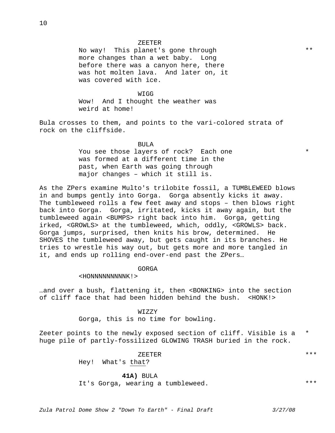No way! This planet's gone through more changes than a wet baby. Long before there was a canyon here, there was hot molten lava. And later on, it was covered with ice.

WIGG

Wow! And I thought the weather was weird at home!

Bula crosses to them, and points to the vari-colored strata of rock on the cliffside.

BULA

You see those layers of rock? Each one was formed at a different time in the past, when Earth was going through major changes – which it still is.

As the ZPers examine Multo's trilobite fossil, a TUMBLEWEED blows in and bumps gently into Gorga. Gorga absently kicks it away. The tumbleweed rolls a few feet away and stops – then blows right back into Gorga. Gorga, irritated, kicks it away again, but the tumbleweed again <BUMPS> right back into him. Gorga, getting irked, <GROWLS> at the tumbleweed, which, oddly, <GROWLS> back. Gorga jumps, surprised, then knits his brow, determined. He SHOVES the tumbleweed away, but gets caught in its branches. He tries to wrestle his way out, but gets more and more tangled in it, and ends up rolling end-over-end past the ZPers…

GORGA

<HONNNNNNNNNK!>

…and over a bush, flattening it, then <BONKING> into the section of cliff face that had been hidden behind the bush. <HONK!>

> WIZZY Gorga, this is no time for bowling.

Zeeter points to the newly exposed section of cliff. Visible is a huge pile of partly-fossilized GLOWING TRASH buried in the rock. \*

> ZEETER Hey! What's that?

> > **41A)** BULA

It's Gorga, wearing a tumbleweed.

\*\*\*

\*\*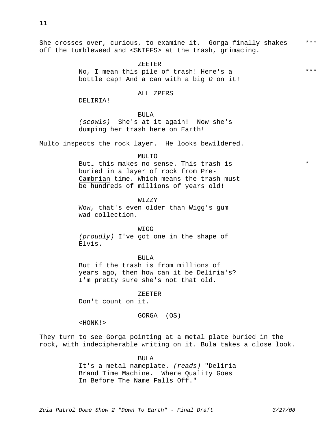She crosses over, curious, to examine it. Gorga finally shakes off the tumbleweed and <SNIFFS> at the trash, grimacing. \*\*\*

ZEETER

No, I mean this pile of trash! Here's a bottle cap! And a can with a big *D* on it!

ALL ZPERS

DELIRIA!

#### BULA

*(scowls)* She's at it again! Now she's dumping her trash here on Earth!

Multo inspects the rock layer. He looks bewildered.

#### $MTIT.$ TO

But… this makes no sense. This trash is buried in a layer of rock from Pre-Cambrian time. Which means the trash must be hundreds of millions of years old!

WIZZY

Wow, that's even older than Wigg's gum wad collection.

#### WIGG

*(proudly)* I've got one in the shape of Elvis.

BULA

But if the trash is from millions of years ago, then how can it be Deliria's? I'm pretty sure she's not that old.

ZEETER

Don't count on it.

#### GORGA (OS)

<HONK!>

They turn to see Gorga pointing at a metal plate buried in the rock, with indecipherable writing on it. Bula takes a close look.

> BULA It's a metal nameplate. *(reads)* "Deliria Brand Time Machine. Where Quality Goes In Before The Name Falls Off."

\*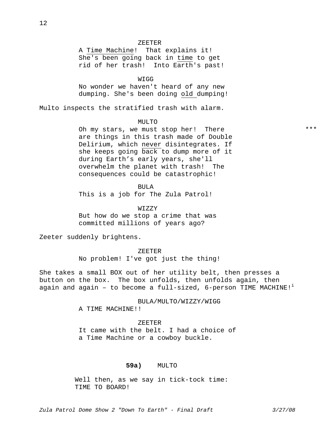#### ZEETER

A Time Machine! That explains it! She's been going back in time to get rid of her trash! Into Earth's past!

WIGG

No wonder we haven't heard of any new dumping. She's been doing old dumping!

Multo inspects the stratified trash with alarm.

#### MULTO

Oh my stars, we must stop her! There are things in this trash made of Double Delirium, which never disintegrates. If she keeps going back to dump more of it during Earth's early years, she'll overwhelm the planet with trash! The consequences could be catastrophic!

BULA

This is a job for The Zula Patrol!

WIZZY But how do we stop a crime that was committed millions of years ago?

Zeeter suddenly brightens.

ZEETER No problem! I've got just the thing!

She takes a small BOX out of her utility belt, then presses a button on the box. The box unfolds, then unfolds again, then again and again - to become a full-sized,  $6$ -person TIME MACHINE!<sup>1</sup>

> BULA/MULTO/WIZZY/WIGG A TIME MACHINE!!

ZEETER

It came with the belt. I had a choice of a Time Machine or a cowboy buckle.

#### **59a)** MULTO

 Well then, as we say in tick-tock time: TIME TO BOARD!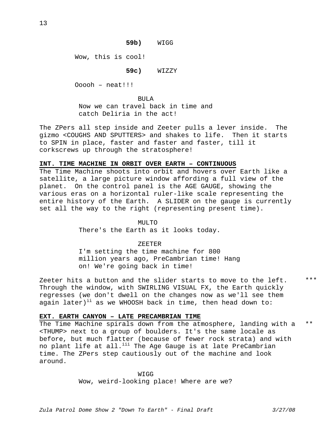**59b)** WIGG

Wow, this is cool!

**59c)** WIZZY

Ooooh – neat!!!

BULA Now we can travel back in time and catch Deliria in the act!

The ZPers all step inside and Zeeter pulls a lever inside. The gizmo <COUGHS AND SPUTTERS> and shakes to life. Then it starts to SPIN in place, faster and faster and faster, till it corkscrews up through the stratosphere!

## **INT. TIME MACHINE IN ORBIT OVER EARTH – CONTINUOUS**

The Time Machine shoots into orbit and hovers over Earth like a satellite, a large picture window affording a full view of the planet. On the control panel is the AGE GAUGE, showing the various eras on a horizontal ruler-like scale representing the entire history of the Earth. A SLIDER on the gauge is currently set all the way to the right (representing present time).

#### MULTO

There's the Earth as it looks today.

#### ZEETER

I'm setting the time machine for 800 million years ago, PreCambrian time! Hang on! We're going back in time!

Zeeter hits a button and the slider starts to move to the left. Through the window, with SWIRLING VISUAL FX, the Earth quickly regresses (we don't dwell on the changes now as we'll see them again later)<sup>ii</sup> as we WHOOSH back in time, then head down to: \*\*\*

#### **EXT. EARTH CANYON – LATE PRECAMBRIAN TIME**

The Time Machine spirals down from the atmosphere, landing with a <THUMP> next to a group of boulders. It's the same locale as before, but much flatter (because of fewer rock strata) and with no plant life at all.<sup>iii</sup> The Age Gauge is at late PreCambrian time. The ZPers step cautiously out of the machine and look around. \*\*

> **WIGG** Wow, weird-looking place! Where are we?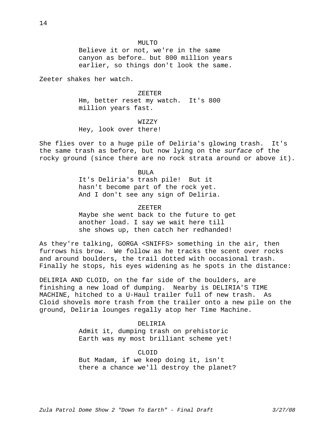#### MULTO

Believe it or not, we're in the same canyon as before… but 800 million years earlier, so things don't look the same.

Zeeter shakes her watch.

#### ZEETER

Hm, better reset my watch. It's 800 million years fast.

#### WIZZY

Hey, look over there!

She flies over to a huge pile of Deliria's glowing trash. It's the same trash as before, but now lying on the *surface* of the rocky ground (since there are no rock strata around or above it).

#### BULA

It's Deliria's trash pile! But it hasn't become part of the rock yet. And I don't see any sign of Deliria.

#### ZEETER

Maybe she went back to the future to get another load. I say we wait here till she shows up, then catch her redhanded!

As they're talking, GORGA <SNIFFS> something in the air, then furrows his brow. We follow as he tracks the scent over rocks and around boulders, the trail dotted with occasional trash. Finally he stops, his eyes widening as he spots in the distance:

DELIRIA AND CLOID, on the far side of the boulders, are finishing a new load of dumping. Nearby is DELIRIA'S TIME MACHINE, hitched to a U-Haul trailer full of new trash. As Cloid shovels more trash from the trailer onto a new pile on the ground, Deliria lounges regally atop her Time Machine.

#### DELIRIA

Admit it, dumping trash on prehistoric Earth was my most brilliant scheme yet!

#### CLOID

But Madam, if we keep doing it, isn't there a chance we'll destroy the planet?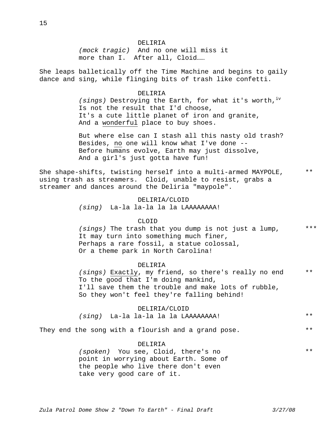#### DELIRIA

*(mock tragic)* And no one will miss it more than I. After all, Cloid……

She leaps balletically off the Time Machine and begins to gaily dance and sing, while flinging bits of trash like confetti.

#### DELIRIA

*(sings)* Destroying the Earth, for what it's worth,<sup>iv</sup> Is not the result that I'd choose, It's a cute little planet of iron and granite, And a wonderful place to buy shoes.

But where else can I stash all this nasty old trash? Besides, no one will know what I've done -- Before humans evolve, Earth may just dissolve, And a girl's just gotta have fun!

She shape-shifts, twisting herself into a multi-armed MAYPOLE, using trash as streamers. Cloid, unable to resist, grabs a streamer and dances around the Deliria "maypole". \*\*

## DELIRIA/CLOID

*(sing)* La-la la-la la la LAAAAAAAA!

#### CLOID

*(sings)* The trash that you dump is not just a lump, It may turn into something much finer, Perhaps a rare fossil, a statue colossal, Or a theme park in North Carolina! \*\*\*

#### DELIRIA

*(sings)* Exactly, my friend, so there's really no end To the good that I'm doing mankind, I'll save them the trouble and make lots of rubble, So they won't feel they're falling behind! \*\*

#### DELIRIA/CLOID

#### *(sing)* La-la la-la la la LAAAAAAAA! \*\*

They end the song with a flourish and a grand pose. \*\*

#### DELIRIA

*(spoken)* You see, Cloid, there's no point in worrying about Earth. Some of the people who live there don't even take very good care of it. \*\*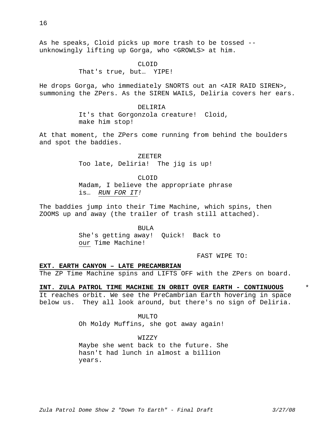As he speaks, Cloid picks up more trash to be tossed - unknowingly lifting up Gorga, who <GROWLS> at him.

> CLOID That's true, but… YIPE!

He drops Gorga, who immediately SNORTS out an <AIR RAID SIREN>, summoning the ZPers. As the SIREN WAILS, Deliria covers her ears.

> DELIRIA It's that Gorgonzola creature! Cloid, make him stop!

At that moment, the ZPers come running from behind the boulders and spot the baddies.

> ZEETER Too late, Deliria! The jig is up!

> > CLOID

Madam, I believe the appropriate phrase is… *RUN FOR IT!* 

The baddies jump into their Time Machine, which spins, then ZOOMS up and away (the trailer of trash still attached).

> BULA She's getting away! Quick! Back to our Time Machine!

> > FAST WIPE TO:

#### **EXT. EARTH CANYON – LATE PRECAMBRIAN**

The ZP Time Machine spins and LIFTS OFF with the ZPers on board.

**INT. ZULA PATROL TIME MACHINE IN ORBIT OVER EARTH - CONTINUOUS**

It reaches orbit. We see the PreCambrian Earth hovering in space below us. They all look around, but there's no sign of Deliria.

> MULTO Oh Moldy Muffins, she got away again!

WIZZY Maybe she went back to the future. She hasn't had lunch in almost a billion years.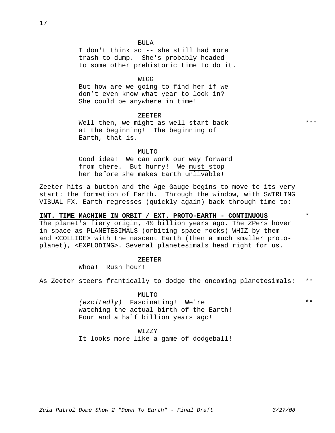I don't think so -- she still had more trash to dump. She's probably headed to some other prehistoric time to do it.

#### WIGG

But how are we going to find her if we don't even know what year to look in? She could be anywhere in time!

ZEETER

Well then, we might as well start back at the beginning! The beginning of Earth, that is.

MULTO<sub>1</sub>

Good idea! We can work our way forward from there. But hurry! We must stop her before she makes Earth unlivable!

Zeeter hits a button and the Age Gauge begins to move to its very start: the formation of Earth. Through the window, with SWIRLING VISUAL FX, Earth regresses (quickly again) back through time to:

## **INT. TIME MACHINE IN ORBIT / EXT. PROTO-EARTH - CONTINUOUS**

The planet's fiery origin, 4½ billion years ago. The ZPers hover in space as PLANETESIMALS (orbiting space rocks) WHIZ by them and <COLLIDE> with the nascent Earth (then a much smaller protoplanet), <EXPLODING>. Several planetesimals head right for us.

#### ZEETER

Whoa! Rush hour!

As Zeeter steers frantically to dodge the oncoming planetesimals: \*\*

MULTO

*(excitedly)* Fascinating! We're watching the actual birth of the Earth! Four and a half billion years ago!

#### WIZZY

It looks more like a game of dodgeball!

\*\*\*

\*

\*\*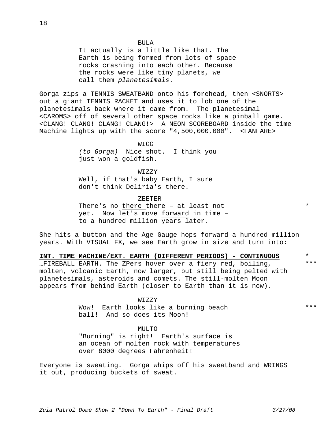It actually is a little like that. The Earth is being formed from lots of space rocks crashing into each other. Because the rocks were like tiny planets, we call them *planetesimals*.

Gorga zips a TENNIS SWEATBAND onto his forehead, then <SNORTS> out a giant TENNIS RACKET and uses it to lob one of the planetesimals back where it came from. The planetesimal <CAROMS> off of several other space rocks like a pinball game. <CLANG! CLANG! CLANG! CLANG!> A NEON SCOREBOARD inside the time Machine lights up with the score "4,500,000,000". <FANFARE>

> WIGG *(to Gorga)* Nice shot. I think you just won a goldfish.

WIZZY Well, if that's baby Earth, I sure don't think Deliria's there.

ZEETER

There's no there there – at least not yet. Now let's move forward in time – to a hundred million years later.

She hits a button and the Age Gauge hops forward a hundred million years. With VISUAL FX, we see Earth grow in size and turn into:

**INT. TIME MACHINE/EXT. EARTH (DIFFERENT PERIODS) - CONTINUOUS** …FIREBALL EARTH. The ZPers hover over a fiery red, boiling, molten, volcanic Earth, now larger, but still being pelted with planetesimals, asteroids and comets. The still-molten Moon appears from behind Earth (closer to Earth than it is now). \*\*\* \*

> WIZZY Wow! Earth looks like a burning beach ball! And so does its Moon!

> > $MTI$ ,  $TO$

"Burning" is right! Earth's surface is an ocean of molten rock with temperatures over 8000 degrees Fahrenheit!

Everyone is sweating. Gorga whips off his sweatband and WRINGS it out, producing buckets of sweat.

\*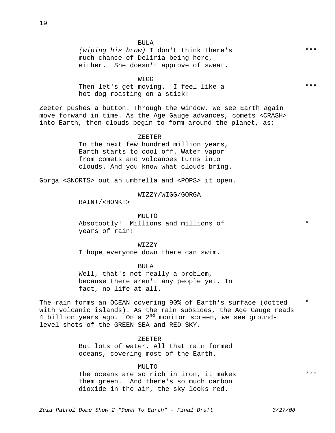*(wiping his brow)* I don't think there's much chance of Deliria being here, either. She doesn't approve of sweat.

WIGG Then let's get moving. I feel like a hot dog roasting on a stick!

Zeeter pushes a button. Through the window, we see Earth again move forward in time. As the Age Gauge advances, comets <CRASH> into Earth, then clouds begin to form around the planet, as:

#### ZEETER

In the next few hundred million years, Earth starts to cool off. Water vapor from comets and volcanoes turns into clouds. And you know what clouds bring.

Gorga <SNORTS> out an umbrella and <POPS> it open.

WIZZY/WIGG/GORGA

RAIN!/<HONK!>

MULTO Absotootly! Millions and millions of years of rain!

WIZZY

I hope everyone down there can swim.

BULA

Well, that's not really a problem, because there aren't any people yet. In fact, no life at all.

The rain forms an OCEAN covering 90% of Earth's surface (dotted with volcanic islands). As the rain subsides, the Age Gauge reads 4 billion years ago. On a  $2^{nd}$  monitor screen, we see groundlevel shots of the GREEN SEA and RED SKY. \*

ZEETER

But lots of water. All that rain formed oceans, covering most of the Earth.

MULTO

The oceans are so rich in iron, it makes them green. And there's so much carbon dioxide in the air, the sky looks red.

*Zula Patrol Dome Show 2 "Down To Earth" - Final Draft 3/27/08* 

\*\*\*

\*\*\*

\*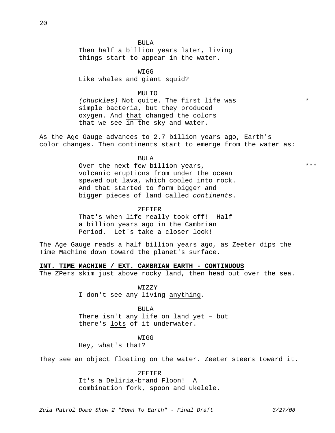Then half a billion years later, living things start to appear in the water.

WIGG Like whales and giant squid?

MULTO

*(chuckles)* Not quite. The first life was simple bacteria, but they produced oxygen. And that changed the colors that we see in the sky and water.

As the Age Gauge advances to 2.7 billion years ago, Earth's color changes. Then continents start to emerge from the water as:

BULA

Over the next few billion years, volcanic eruptions from under the ocean spewed out lava, which cooled into rock. And that started to form bigger and bigger pieces of land called *continents*.

ZEETER

That's when life really took off! Half a billion years ago in the Cambrian Period. Let's take a closer look!

The Age Gauge reads a half billion years ago, as Zeeter dips the Time Machine down toward the planet's surface.

**INT. TIME MACHINE / EXT. CAMBRIAN EARTH - CONTINUOUS**

The ZPers skim just above rocky land, then head out over the sea.

WIZZY I don't see any living anything.

BULA There isn't any life on land yet – but there's lots of it underwater.

**WIGG** 

Hey, what's that?

They see an object floating on the water. Zeeter steers toward it.

ZEETER It's a Deliria-brand Floon! A combination fork, spoon and ukelele.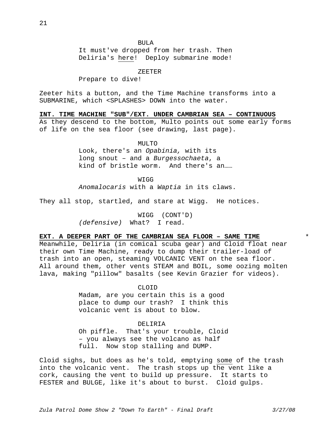It must've dropped from her trash. Then Deliria's here! Deploy submarine mode!

ZEETER

Prepare to dive!

Zeeter hits a button, and the Time Machine transforms into a SUBMARINE, which <SPLASHES> DOWN into the water.

**INT. TIME MACHINE "SUB"/EXT. UNDER CAMBRIAN SEA – CONTINUOUS**

As they descend to the bottom, Multo points out some early forms of life on the sea floor (see drawing, last page).

MULTO

Look, there's an *Opabinia,* with its long snout – and a *Burgessochaeta*, a kind of bristle worm. And there's an……

**WIGG** 

*Anomalocaris* with a *Waptia* in its claws.

They all stop, startled, and stare at Wigg. He notices.

WIGG (CONT'D) *(defensive)* What? I read.

#### **EXT. A DEEPER PART OF THE CAMBRIAN SEA FLOOR – SAME TIME**

Meanwhile, Deliria (in comical scuba gear) and Cloid float near their own Time Machine, ready to dump their trailer-load of trash into an open, steaming VOLCANIC VENT on the sea floor. All around them, other vents STEAM and BOIL, some oozing molten lava, making "pillow" basalts (see Kevin Grazier for videos).

CLOID

Madam, are you certain this is a good place to dump our trash? I think this volcanic vent is about to blow.

DELIRIA

Oh piffle. That's your trouble, Cloid – you always see the volcano as half full. Now stop stalling and DUMP.

Cloid sighs, but does as he's told, emptying some of the trash into the volcanic vent. The trash stops up the vent like a cork, causing the vent to build up pressure. It starts to FESTER and BULGE, like it's about to burst. Cloid gulps.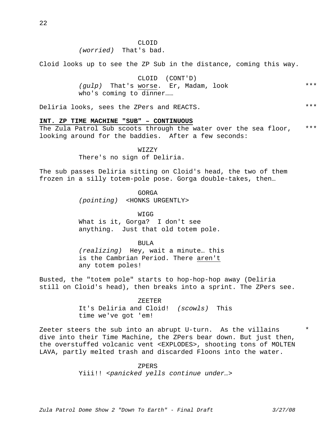#### CLOID

## *(worried)* That's bad.

Cloid looks up to see the ZP Sub in the distance, coming this way.

CLOID (CONT'D) *(gulp)* That's worse. Er, Madam, look who's coming to dinner…… \*\*\*

Deliria looks, sees the ZPers and REACTS.

#### **INT. ZP TIME MACHINE "SUB" – CONTINUOUS**

The Zula Patrol Sub scoots through the water over the sea floor, looking around for the baddies. After a few seconds: \*\*\*

WIZZY

There's no sign of Deliria.

The sub passes Deliria sitting on Cloid's head, the two of them frozen in a silly totem-pole pose. Gorga double-takes, then…

GORGA

*(pointing)* <HONKS URGENTLY>

WIGG

What is it, Gorga? I don't see anything. Just that old totem pole.

BULA

*(realizing)* Hey, wait a minute… this is the Cambrian Period. There aren't any totem poles!

Busted, the "totem pole" starts to hop-hop-hop away (Deliria still on Cloid's head), then breaks into a sprint. The ZPers see.

ZEETER

It's Deliria and Cloid! *(scowls)* This time we've got 'em!

Zeeter steers the sub into an abrupt U-turn. As the villains dive into their Time Machine, the ZPers bear down. But just then, the overstuffed volcanic vent <EXPLODES>, shooting tons of MOLTEN LAVA, partly melted trash and discarded Floons into the water.

ZPERS

Yiii!! *<panicked yells continue under…>* 

\*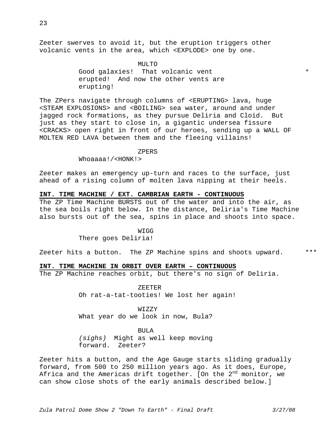Zeeter swerves to avoid it, but the eruption triggers other volcanic vents in the area, which <EXPLODE> one by one.

> MULTO Good galaxies! That volcanic vent erupted! And now the other vents are erupting!

The ZPers navigate through columns of <ERUPTING> lava, huge <STEAM EXPLOSIONS> and <BOILING> sea water, around and under jagged rock formations, as they pursue Deliria and Cloid. But just as they start to close in, a gigantic undersea fissure <CRACKS> open right in front of our heroes, sending up a WALL OF MOLTEN RED LAVA between them and the fleeing villains!

#### ZPERS

Whoaaaa!/<HONK!>

Zeeter makes an emergency up-turn and races to the surface, just ahead of a rising column of molten lava nipping at their heels.

#### **INT. TIME MACHINE / EXT. CAMBRIAN EARTH - CONTINUOUS**

The ZP Time Machine BURSTS out of the water and into the air, as the sea boils right below. In the distance, Deliria's Time Machine also bursts out of the sea, spins in place and shoots into space.

> WIGG There goes Deliria!

Zeeter hits a button. The ZP Machine spins and shoots upward. \*\*\*

#### **INT. TIME MACHINE IN ORBIT OVER EARTH – CONTINUOUS**

The ZP Machine reaches orbit, but there's no sign of Deliria.

ZEETER

Oh rat-a-tat-tooties! We lost her again!

WIZZY

What year do we look in now, Bula?

BULA

*(sighs)* Might as well keep moving forward. Zeeter?

Zeeter hits a button, and the Age Gauge starts sliding gradually forward, from 500 to 250 million years ago. As it does, Europe, Africa and the Americas drift together. [On the  $2^{nd}$  monitor, we can show close shots of the early animals described below.]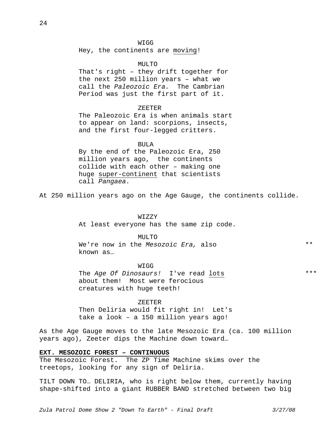WIGG

Hey, the continents are moving!

MULTO

That's right – they drift together for the next 250 million years – what we call the *Paleozoic Era.* The Cambrian Period was just the first part of it.

#### ZEETER

The Paleozoic Era is when animals start to appear on land: scorpions, insects, and the first four-legged critters.

BULA

By the end of the Paleozoic Era, 250 million years ago, the continents collide with each other – making one huge super-continent that scientists call *Pangaea.* 

At 250 million years ago on the Age Gauge, the continents collide.

WIZZY

At least everyone has the same zip code.

MULTO

We're now in the *Mesozoic Era,* also known as…

WIGG The *Age Of Dinosaurs!* I've read lots about them! Most were ferocious creatures with huge teeth!

ZEETER

Then Deliria would fit right in! Let's take a look – a 150 million years ago!

As the Age Gauge moves to the late Mesozoic Era (ca. 100 million years ago), Zeeter dips the Machine down toward…

#### **EXT. MESOZOIC FOREST – CONTINUOUS**

The Mesozoic Forest. The ZP Time Machine skims over the treetops, looking for any sign of Deliria.

TILT DOWN TO… DELIRIA, who is right below them, currently having shape-shifted into a giant RUBBER BAND stretched between two big

\*\*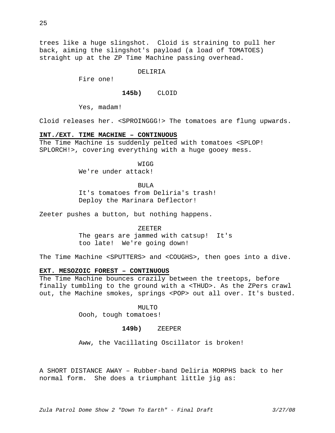trees like a huge slingshot. Cloid is straining to pull her back, aiming the slingshot's payload (a load of TOMATOES) straight up at the ZP Time Machine passing overhead.

#### DELIRIA

Fire one!

## **145b)** CLOID

Yes, madam!

Cloid releases her. <SPROINGGG!> The tomatoes are flung upwards.

#### **INT./EXT. TIME MACHINE – CONTINUOUS**

The Time Machine is suddenly pelted with tomatoes <SPLOP! SPLORCH!>, covering everything with a huge gooey mess.

> **WTGG** We're under attack!

#### BULA

It's tomatoes from Deliria's trash! Deploy the Marinara Deflector!

Zeeter pushes a button, but nothing happens.

#### ZEETER

The gears are jammed with catsup! It's too late! We're going down!

The Time Machine <SPUTTERS> and <COUGHS>, then goes into a dive.

## **EXT. MESOZOIC FOREST – CONTINUOUS**

The Time Machine bounces crazily between the treetops, before finally tumbling to the ground with a <THUD>. As the ZPers crawl out, the Machine smokes, springs <POP> out all over. It's busted.

> MULTO Oooh, tough tomatoes!

#### **149b)** ZEEPER

Aww, the Vacillating Oscillator is broken!

A SHORT DISTANCE AWAY – Rubber-band Deliria MORPHS back to her normal form. She does a triumphant little jig as: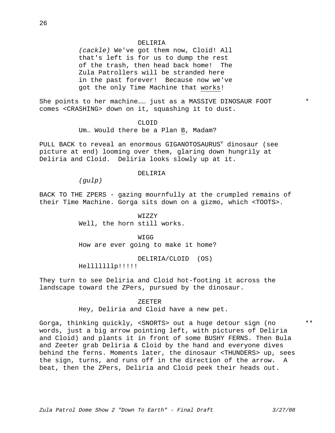#### DELIRIA

*(cackle)* We've got them now, Cloid! All that's left is for us to dump the rest of the trash, then head back home! The Zula Patrollers will be stranded here in the past forever! Because now we've got the only Time Machine that works!

She points to her machine…… just as a MASSIVE DINOSAUR FOOT comes <CRASHING> down on it, squashing it to dust.

#### CLOID

Um… Would there be a Plan B, Madam?

PULL BACK to reveal an enormous GIGANOTOSAURUS<sup>v</sup> dinosaur (see picture at end) looming over them, glaring down hungrily at Deliria and Cloid. Deliria looks slowly up at it.

#### DELIRIA

*(gulp)* 

BACK TO THE ZPERS - gazing mournfully at the crumpled remains of their Time Machine. Gorga sits down on a gizmo, which <TOOTS>.

> WIZZY Well, the horn still works.

WIGG How are ever going to make it home?

DELIRIA/CLOID (OS)

Helllllllp!!!!!

They turn to see Deliria and Cloid hot-footing it across the landscape toward the ZPers, pursued by the dinosaur.

#### ZEETER

Hey, Deliria and Cloid have a new pet.

Gorga, thinking quickly, <SNORTS> out a huge detour sign (no words, just a big arrow pointing left, with pictures of Deliria and Cloid) and plants it in front of some BUSHY FERNS. Then Bula and Zeeter grab Deliria & Cloid by the hand and everyone dives behind the ferns. Moments later, the dinosaur <THUNDERS> up, sees the sign, turns, and runs off in the direction of the arrow. A beat, then the ZPers, Deliria and Cloid peek their heads out.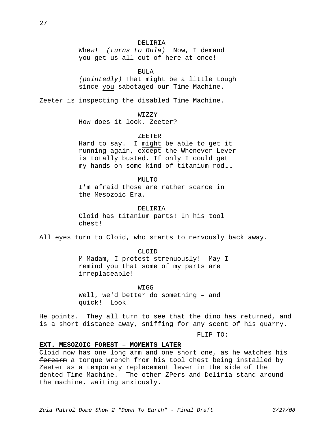Whew! *(turns to Bula)* Now, I demand you get us all out of here at once!

BULA

*(pointedly)* That might be a little tough since you sabotaged our Time Machine.

Zeeter is inspecting the disabled Time Machine.

## WIZZY

How does it look, Zeeter?

#### ZEETER

Hard to say. I might be able to get it running again, except the Whenever Lever is totally busted. If only I could get my hands on some kind of titanium rod……

#### $MTIT.$ TO

I'm afraid those are rather scarce in the Mesozoic Era.

#### DELIRIA

Cloid has titanium parts! In his tool chest!

All eyes turn to Cloid, who starts to nervously back away.

## CLOID

M-Madam, I protest strenuously! May I remind you that some of my parts are irreplaceable!

WIGG Well, we'd better do something – and quick! Look!

He points. They all turn to see that the dino has returned, and is a short distance away, sniffing for any scent of his quarry.

FLIP TO:

## **EXT. MESOZOIC FOREST – MOMENTS LATER**

Cloid now has one long arm and one short one, as he watches his forearm a torque wrench from his tool chest being installed by Zeeter as a temporary replacement lever in the side of the dented Time Machine. The other ZPers and Deliria stand around the machine, waiting anxiously.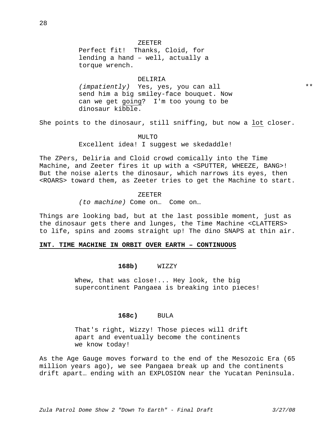torque wrench. DELIRIA *(impatiently)* Yes, yes, you can all send him a big smiley-face bouquet. Now can we get going? I'm too young to be dinosaur kibble.

She points to the dinosaur, still sniffing, but now a lot closer.

MULTO

Excellent idea! I suggest we skedaddle!

The ZPers, Deliria and Cloid crowd comically into the Time Machine, and Zeeter fires it up with a <SPUTTER, WHEEZE, BANG>! But the noise alerts the dinosaur, which narrows its eyes, then <ROARS> toward them, as Zeeter tries to get the Machine to start.

#### ZEETER

*(to machine)* Come on… Come on…

Things are looking bad, but at the last possible moment, just as the dinosaur gets there and lunges, the Time Machine <CLATTERS> to life, spins and zooms straight up! The dino SNAPS at thin air.

#### **INT. TIME MACHINE IN ORBIT OVER EARTH – CONTINUOUS**

#### **168b)** WIZZY

 Whew, that was close!... Hey look, the big supercontinent Pangaea is breaking into pieces!

#### **168c)** BULA

 That's right, Wizzy! Those pieces will drift apart and eventually become the continents we know today!

As the Age Gauge moves forward to the end of the Mesozoic Era (65 million years ago), we see Pangaea break up and the continents drift apart… ending with an EXPLOSION near the Yucatan Peninsula.

\*\*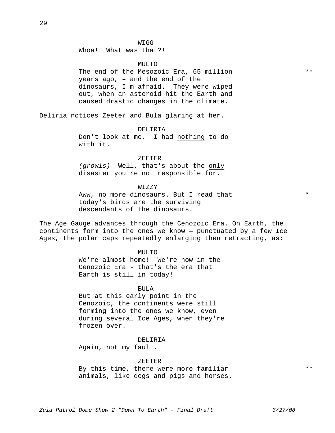#### WIGG

Whoa! What was that?!

#### MULTO

The end of the Mesozoic Era, 65 million years ago, – and the end of the dinosaurs, I'm afraid. They were wiped out, when an asteroid hit the Earth and caused drastic changes in the climate.

Deliria notices Zeeter and Bula glaring at her.

#### DELIRIA

Don't look at me. I had nothing to do with it.

#### ZEETER

*(growls)* Well, that's about the only disaster you're not responsible for.

#### WIZZY

Aww, no more dinosaurs. But I read that today's birds are the surviving descendants of the dinosaurs.

The Age Gauge advances through the Cenozoic Era. On Earth, the continents form into the ones we know — punctuated by a few Ice Ages, the polar caps repeatedly enlarging then retracting, as:

#### MULTO

We're almost home! We're now in the Cenozoic Era - that's the era that Earth is still in today!

#### BULA

But at this early point in the Cenozoic, the continents were still forming into the ones we know, even during several Ice Ages, when they're frozen over.

DELIRIA

Again, not my fault.

#### ZEETER

By this time, there were more familiar animals, like dogs and pigs and horses. \*\*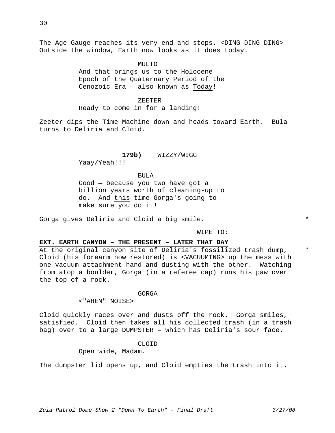The Age Gauge reaches its very end and stops. <DING DING DING> Outside the window, Earth now looks as it does today.

 $MTI$ ,  $TO$ 

And that brings us to the Holocene Epoch of the Quaternary Period of the Cenozoic Era – also known as Today!

ZEETER

Ready to come in for a landing!

Zeeter dips the Time Machine down and heads toward Earth. Bula turns to Deliria and Cloid.

#### **179b)** WIZZY/WIGG

Yaay/Yeah!!!

#### BULA

Good — because you two have got a billion years worth of cleaning-up to do. And this time Gorga's going to make sure you do it!

Gorga gives Deliria and Cloid a big smile.

WIPE TO:

#### **EXT. EARTH CANYON – THE PRESENT – LATER THAT DAY**

At the original canyon site of Deliria's fossilized trash dump, Cloid (his forearm now restored) is <VACUUMING> up the mess with one vacuum-attachment hand and dusting with the other. Watching from atop a boulder, Gorga (in a referee cap) runs his paw over the top of a rock.

#### GORGA

<"AHEM" NOISE>

Cloid quickly races over and dusts off the rock. Gorga smiles, satisfied. Cloid then takes all his collected trash (in a trash bag) over to a large DUMPSTER – which has Deliria's sour face.

#### CLOID

Open wide, Madam.

The dumpster lid opens up, and Cloid empties the trash into it.

\*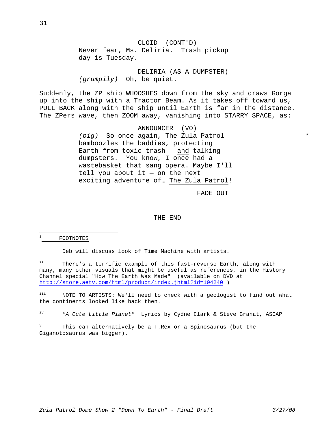CLOID (CONT'D) Never fear, Ms. Deliria. Trash pickup day is Tuesday.

DELIRIA (AS A DUMPSTER) *(grumpily)* Oh, be quiet.

Suddenly, the ZP ship WHOOSHES down from the sky and draws Gorga up into the ship with a Tractor Beam. As it takes off toward us, PULL BACK along with the ship until Earth is far in the distance. The ZPers wave, then ZOOM away, vanishing into STARRY SPACE, as:

> ANNOUNCER (VO) *(big)* So once again, The Zula Patrol bamboozles the baddies, protecting Earth from toxic trash — and talking dumpsters. You know, I once had a wastebasket that sang opera. Maybe I'll tell you about it  $-$  on the next exciting adventure of… The Zula Patrol!

> > FADE OUT

#### THE END

i FOOTNOTES

i<br>Li

Deb will discuss look of Time Machine with artists.

ii There's a terrific example of this fast-reverse Earth, along with many, many other visuals that might be useful as references, in the History Channel special "How The Earth Was Made" (available on DVD at http://store.aetv.com/html/product/index.jhtml?id=104240 )

iii NOTE TO ARTISTS: We'll need to check with a geologist to find out what the continents looked like back then.

iv *"A Cute Little Planet"* Lyrics by Cydne Clark & Steve Granat, ASCAP

v This can alternatively be a T.Rex or a Spinosaurus (but the Giganotosaurus was bigger).